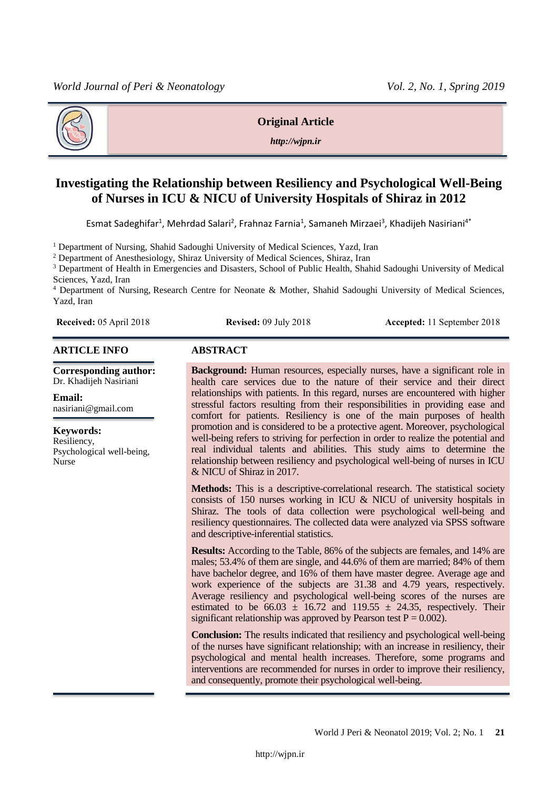

#### **Original Article**

*http://wjpn.ir*

# **Investigating the Relationship between Resiliency and Psychological Well-Being of Nurses in ICU & NICU of University Hospitals of Shiraz in 2012**

Esmat Sadeghifar<sup>1</sup>, Mehrdad Salari<sup>2</sup>, Frahnaz Farnia<sup>1</sup>, Samaneh Mirzaei<sup>3</sup>, Khadijeh Nasiriani<sup>4\*</sup>

<sup>1</sup> Department of Nursing, Shahid Sadoughi University of Medical Sciences, Yazd, Iran

<sup>2</sup> Department of Anesthesiology, Shiraz University of Medical Sciences, Shiraz, Iran

<sup>3</sup> Department of Health in Emergencies and Disasters, School of Public Health, Shahid Sadoughi University of Medical Sciences, Yazd, Iran

<sup>4</sup> Department of Nursing, Research Centre for Neonate & Mother, Shahid Sadoughi University of Medical Sciences, Yazd, Iran

**Received:** 05 April 2018 **Revised:** 09 July 2018 **Accepted:** 11 September 2018

#### **ARTICLE INFO ABSTRACT**

**Corresponding author:** Dr. Khadijeh Nasiriani

**Email:**  nasiriani@gmail.com

**Keywords:**  Resiliency, Psychological well-being, Nurse

**Background:** Human resources, especially nurses, have a significant role in health care services due to the nature of their service and their direct relationships with patients. In this regard, nurses are encountered with higher stressful factors resulting from their responsibilities in providing ease and comfort for patients. Resiliency is one of the main purposes of health promotion and is considered to be a protective agent. Moreover, psychological well-being refers to striving for perfection in order to realize the potential and real individual talents and abilities. This study aims to determine the relationship between resiliency and psychological well-being of nurses in ICU & NICU of Shiraz in 2017.

**Methods:** This is a descriptive-correlational research. The statistical society consists of 150 nurses working in ICU & NICU of university hospitals in Shiraz. The tools of data collection were psychological well-being and resiliency questionnaires. The collected data were analyzed via SPSS software and descriptive-inferential statistics.

**Results:** According to the Table, 86% of the subjects are females, and 14% are males; 53.4% of them are single, and 44.6% of them are married; 84% of them have bachelor degree, and 16% of them have master degree. Average age and work experience of the subjects are 31.38 and 4.79 years, respectively. Average resiliency and psychological well-being scores of the nurses are estimated to be  $66.03 \pm 16.72$  and  $119.55 \pm 24.35$ , respectively. Their significant relationship was approved by Pearson test  $P = 0.002$ .

**Conclusion:** The results indicated that resiliency and psychological well-being of the nurses have significant relationship; with an increase in resiliency, their psychological and mental health increases. Therefore, some programs and interventions are recommended for nurses in order to improve their resiliency, and consequently, promote their psychological well-being.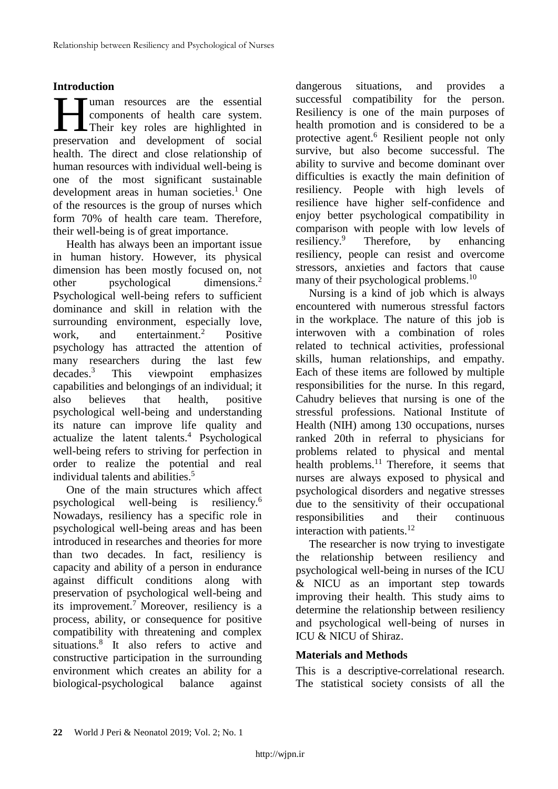# **Introduction**

**Tuman** resources are the essential components of health care system. Their tey roles are the essential<br>
Their key roles are highlighted in<br>
Their start of social<br>
Their and development of social preservation and development of social health. The direct and close relationship of human resources with individual well-being is one of the most significant sustainable development areas in human societies. $1$  One of the resources is the group of nurses which form 70% of health care team. Therefore, their well-being is of great importance.

Health has always been an important issue in human history. However, its physical dimension has been mostly focused on, not other psychological dimensions.<sup>2</sup> Psychological well-being refers to sufficient dominance and skill in relation with the surrounding environment, especially love, work, and entertainment.<sup>2</sup> Positive psychology has attracted the attention of many researchers during the last few decades.<sup>3</sup> This viewpoint emphasizes capabilities and belongings of an individual; it also believes that health, positive psychological well-being and understanding its nature can improve life quality and actualize the latent talents.<sup>4</sup> Psychological well-being refers to striving for perfection in order to realize the potential and real individual talents and abilities.<sup>5</sup>

One of the main structures which affect psychological well-being is resiliency.<sup>6</sup> Nowadays, resiliency has a specific role in psychological well-being areas and has been introduced in researches and theories for more than two decades. In fact, resiliency is capacity and ability of a person in endurance against difficult conditions along with preservation of psychological well-being and its improvement.<sup>7</sup> Moreover, resiliency is a process, ability, or consequence for positive compatibility with threatening and complex situations.<sup>8</sup> It also refers to active and constructive participation in the surrounding environment which creates an ability for a biological-psychological balance against

dangerous situations, and provides a successful compatibility for the person. Resiliency is one of the main purposes of health promotion and is considered to be a protective agent.<sup>6</sup> Resilient people not only survive, but also become successful. The ability to survive and become dominant over difficulties is exactly the main definition of resiliency. People with high levels of resilience have higher self-confidence and enjoy better psychological compatibility in comparison with people with low levels of resiliency.<sup>9</sup> Therefore, by enhancing resiliency, people can resist and overcome stressors, anxieties and factors that cause many of their psychological problems.<sup>10</sup>

Nursing is a kind of job which is always encountered with numerous stressful factors in the workplace. The nature of this job is interwoven with a combination of roles related to technical activities, professional skills, human relationships, and empathy. Each of these items are followed by multiple responsibilities for the nurse. In this regard, Cahudry believes that nursing is one of the stressful professions. National Institute of Health (NIH) among 130 occupations, nurses ranked 20th in referral to physicians for problems related to physical and mental health problems. $^{11}$  Therefore, it seems that nurses are always exposed to physical and psychological disorders and negative stresses due to the sensitivity of their occupational responsibilities and their continuous interaction with patients.<sup>12</sup>

The researcher is now trying to investigate the relationship between resiliency and psychological well-being in nurses of the ICU & NICU as an important step towards improving their health. This study aims to determine the relationship between resiliency and psychological well-being of nurses in ICU & NICU of Shiraz.

## **Materials and Methods**

This is a descriptive-correlational research. The statistical society consists of all the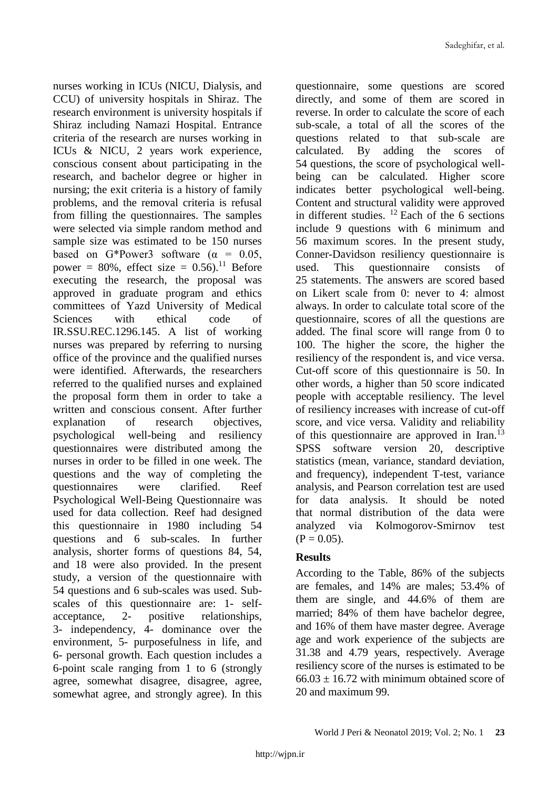nurses working in ICUs (NICU, Dialysis, and CCU) of university hospitals in Shiraz. The research environment is university hospitals if Shiraz including Namazi Hospital. Entrance criteria of the research are nurses working in ICUs & NICU, 2 years work experience, conscious consent about participating in the research, and bachelor degree or higher in nursing; the exit criteria is a history of family problems, and the removal criteria is refusal from filling the questionnaires. The samples were selected via simple random method and sample size was estimated to be 150 nurses based on G\*Power3 software ( $\alpha = 0.05$ , power =  $80\%$ , effect size =  $0.56$ .<sup>11</sup> Before executing the research, the proposal was approved in graduate program and ethics committees of Yazd University of Medical Sciences with ethical code of IR.SSU.REC.1296.145. A list of working nurses was prepared by referring to nursing office of the province and the qualified nurses were identified. Afterwards, the researchers referred to the qualified nurses and explained the proposal form them in order to take a written and conscious consent. After further explanation of research objectives, psychological well-being and resiliency questionnaires were distributed among the nurses in order to be filled in one week. The questions and the way of completing the questionnaires were clarified. Reef Psychological Well-Being Questionnaire was used for data collection. Reef had designed this questionnaire in 1980 including 54 questions and 6 sub-scales. In further analysis, shorter forms of questions 84, 54, and 18 were also provided. In the present study, a version of the questionnaire with 54 questions and 6 sub-scales was used. Subscales of this questionnaire are: 1- selfacceptance, 2- positive relationships, 3- independency, 4- dominance over the environment, 5- purposefulness in life, and 6- personal growth. Each question includes a 6-point scale ranging from 1 to 6 (strongly agree, somewhat disagree, disagree, agree, somewhat agree, and strongly agree). In this

questionnaire, some questions are scored directly, and some of them are scored in reverse. In order to calculate the score of each sub-scale, a total of all the scores of the questions related to that sub-scale are calculated. By adding the scores of 54 questions, the score of psychological wellbeing can be calculated. Higher score indicates better psychological well-being. Content and structural validity were approved in different studies.  $^{12}$  Each of the 6 sections include 9 questions with 6 minimum and 56 maximum scores. In the present study, Conner-Davidson resiliency questionnaire is used. This questionnaire consists of 25 statements. The answers are scored based on Likert scale from 0: never to 4: almost always. In order to calculate total score of the questionnaire, scores of all the questions are added. The final score will range from 0 to 100. The higher the score, the higher the resiliency of the respondent is, and vice versa. Cut-off score of this questionnaire is 50. In other words, a higher than 50 score indicated people with acceptable resiliency. The level of resiliency increases with increase of cut-off score, and vice versa. Validity and reliability of this questionnaire are approved in Iran.<sup>13</sup> SPSS software version 20, descriptive statistics (mean, variance, standard deviation, and frequency), independent T-test, variance analysis, and Pearson correlation test are used for data analysis. It should be noted that normal distribution of the data were analyzed via Kolmogorov-Smirnov test  $(P = 0.05)$ .

## **Results**

According to the Table, 86% of the subjects are females, and 14% are males; 53.4% of them are single, and 44.6% of them are married; 84% of them have bachelor degree, and 16% of them have master degree. Average age and work experience of the subjects are 31.38 and 4.79 years, respectively. Average resiliency score of the nurses is estimated to be  $66.03 \pm 16.72$  with minimum obtained score of 20 and maximum 99.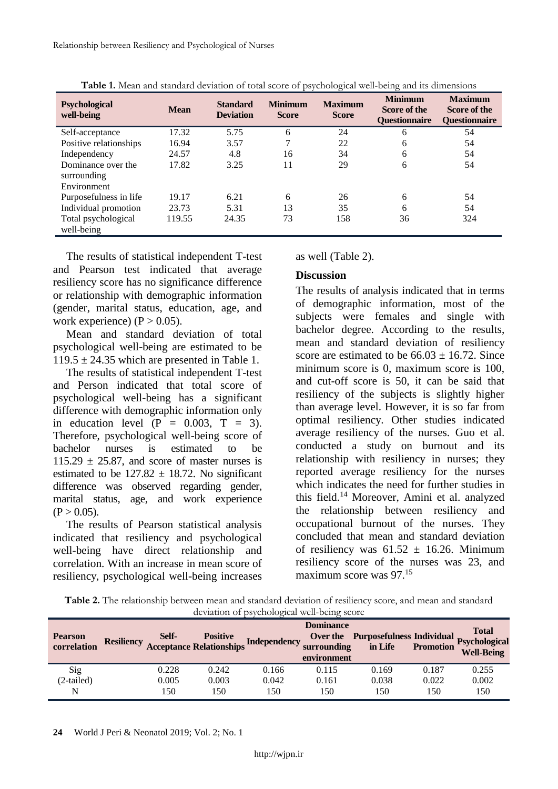| <b>Psychological</b><br>well-being               | <b>Mean</b> | <b>Standard</b><br><b>Deviation</b> | <b>Minimum</b><br><b>Score</b> | <b>Maximum</b><br><b>Score</b> | <b>Minimum</b><br>Score of the<br><b>Ouestionnaire</b> | <b>Maximum</b><br>Score of the<br><b>Questionnaire</b> |
|--------------------------------------------------|-------------|-------------------------------------|--------------------------------|--------------------------------|--------------------------------------------------------|--------------------------------------------------------|
| Self-acceptance                                  | 17.32       | 5.75                                | 6                              | 24                             | 6                                                      | 54                                                     |
| Positive relationships                           | 16.94       | 3.57                                | 7                              | 22                             | 6                                                      | 54                                                     |
| Independency                                     | 24.57       | 4.8                                 | 16                             | 34                             | 6                                                      | 54                                                     |
| Dominance over the<br>surrounding<br>Environment | 17.82       | 3.25                                | 11                             | 29                             | 6                                                      | 54                                                     |
| Purposefulness in life                           | 19.17       | 6.21                                | 6                              | 26                             | 6                                                      | 54                                                     |
| Individual promotion                             | 23.73       | 5.31                                | 13                             | 35                             | 6                                                      | 54                                                     |
| Total psychological<br>well-being                | 119.55      | 24.35                               | 73                             | 158                            | 36                                                     | 324                                                    |

**Table 1.** Mean and standard deviation of total score of psychological well-being and its dimensions

The results of statistical independent T-test and Pearson test indicated that average resiliency score has no significance difference or relationship with demographic information (gender, marital status, education, age, and work experience)  $(P > 0.05)$ .

Mean and standard deviation of total psychological well-being are estimated to be  $119.5 \pm 24.35$  which are presented in Table 1.

The results of statistical independent T-test and Person indicated that total score of psychological well-being has a significant difference with demographic information only in education level  $(P = 0.003, T = 3)$ . Therefore, psychological well-being score of bachelor nurses is estimated to be  $115.29 \pm 25.87$ , and score of master nurses is estimated to be  $127.82 \pm 18.72$ . No significant difference was observed regarding gender, marital status, age, and work experience  $(P > 0.05)$ .

The results of Pearson statistical analysis indicated that resiliency and psychological well-being have direct relationship and correlation. With an increase in mean score of resiliency, psychological well-being increases

as well (Table 2).

#### **Discussion**

The results of analysis indicated that in terms of demographic information, most of the subjects were females and single with bachelor degree. According to the results, mean and standard deviation of resiliency score are estimated to be  $66.03 + 16.72$ . Since minimum score is 0, maximum score is 100, and cut-off score is 50, it can be said that resiliency of the subjects is slightly higher than average level. However, it is so far from optimal resiliency. Other studies indicated average resiliency of the nurses. Guo et al. conducted a study on burnout and its relationship with resiliency in nurses; they reported average resiliency for the nurses which indicates the need for further studies in this field.<sup>14</sup> Moreover, Amini et al. analyzed the relationship between resiliency and occupational burnout of the nurses. They concluded that mean and standard deviation of resiliency was  $61.52 \pm 16.26$ . Minimum resiliency score of the nurses was 23, and maximum score was 97.<sup>15</sup>

**Table 2.** The relationship between mean and standard deviation of resiliency score, and mean and standard deviation of psychological well-being score

| <b>Pearson</b><br>correlation | Self- | <b>Positive</b> | Resiliency Acceptance Relationships Independency surrounding | <b>Dominance</b><br>environment | Over the Purposefulness Individual Psychological<br>in Life | <b>Promotion</b> | <b>Well-Being</b> |
|-------------------------------|-------|-----------------|--------------------------------------------------------------|---------------------------------|-------------------------------------------------------------|------------------|-------------------|
| Sig                           | 0.228 | 0.242           | 0.166                                                        | 0.115                           | 0.169                                                       | 0.187            | 0.255             |
| (2-tailed)                    | 0.005 | 0.003           | 0.042                                                        | 0.161                           | 0.038                                                       | 0.022            | 0.002             |
| N                             | .50   | 150             | 150                                                          | 150                             | 150                                                         | 150              | 150               |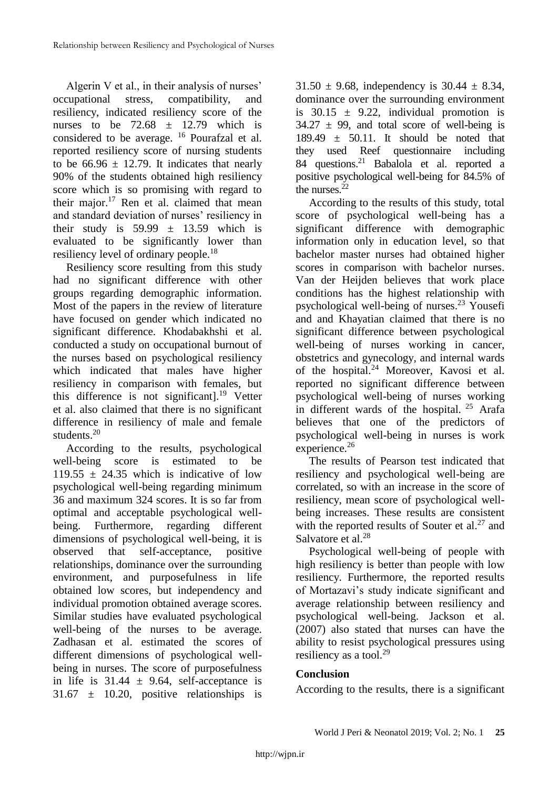Algerin V et al., in their analysis of nurses' occupational stress, compatibility, and resiliency, indicated resiliency score of the nurses to be  $72.68 \pm 12.79$  which is considered to be average. <sup>16</sup> Pourafzal et al. reported resiliency score of nursing students to be  $66.96 \pm 12.79$ . It indicates that nearly 90% of the students obtained high resiliency score which is so promising with regard to their major.<sup>17</sup> Ren et al. claimed that mean and standard deviation of nurses' resiliency in their study is  $59.99 \pm 13.59$  which is evaluated to be significantly lower than resiliency level of ordinary people.<sup>18</sup>

Resiliency score resulting from this study had no significant difference with other groups regarding demographic information. Most of the papers in the review of literature have focused on gender which indicated no significant difference. Khodabakhshi et al. conducted a study on occupational burnout of the nurses based on psychological resiliency which indicated that males have higher resiliency in comparison with females, but this difference is not significant].<sup>19</sup> Vetter et al. also claimed that there is no significant difference in resiliency of male and female students.<sup>20</sup>

According to the results, psychological well-being score is estimated to be 119.55  $\pm$  24.35 which is indicative of low psychological well-being regarding minimum 36 and maximum 324 scores. It is so far from optimal and acceptable psychological wellbeing. Furthermore, regarding different dimensions of psychological well-being, it is observed that self-acceptance, positive relationships, dominance over the surrounding environment, and purposefulness in life obtained low scores, but independency and individual promotion obtained average scores. Similar studies have evaluated psychological well-being of the nurses to be average. Zadhasan et al. estimated the scores of different dimensions of psychological wellbeing in nurses. The score of purposefulness in life is  $31.44 \pm 9.64$ , self-acceptance is  $31.67 \pm 10.20$ , positive relationships is

 $31.50 \pm 9.68$ , independency is  $30.44 \pm 8.34$ , dominance over the surrounding environment is  $30.15 \pm 9.22$ , individual promotion is  $34.27 \pm 99$ , and total score of well-being is 189.49  $\pm$  50.11. It should be noted that they used Reef questionnaire including 84 questions.<sup>21</sup> Babalola et al. reported a positive psychological well-being for 84.5% of the nurses. $^{22}$ 

According to the results of this study, total score of psychological well-being has a significant difference with demographic information only in education level, so that bachelor master nurses had obtained higher scores in comparison with bachelor nurses. Van der Heijden believes that work place conditions has the highest relationship with psychological well-being of nurses. $^{23}$  Yousefi and and Khayatian claimed that there is no significant difference between psychological well-being of nurses working in cancer, obstetrics and gynecology, and internal wards of the hospital.<sup>24</sup> Moreover, Kavosi et al. reported no significant difference between psychological well-being of nurses working in different wards of the hospital.  $25$  Arafa believes that one of the predictors of psychological well-being in nurses is work experience.<sup>26</sup>

The results of Pearson test indicated that resiliency and psychological well-being are correlated, so with an increase in the score of resiliency, mean score of psychological wellbeing increases. These results are consistent with the reported results of Souter et al.<sup>27</sup> and Salvatore et al.<sup>28</sup>

Psychological well-being of people with high resiliency is better than people with low resiliency. Furthermore, the reported results of Mortazavi's study indicate significant and average relationship between resiliency and psychological well-being. Jackson et al. (2007) also stated that nurses can have the ability to resist psychological pressures using resiliency as a tool. $^{29}$ 

# **Conclusion**

According to the results, there is a significant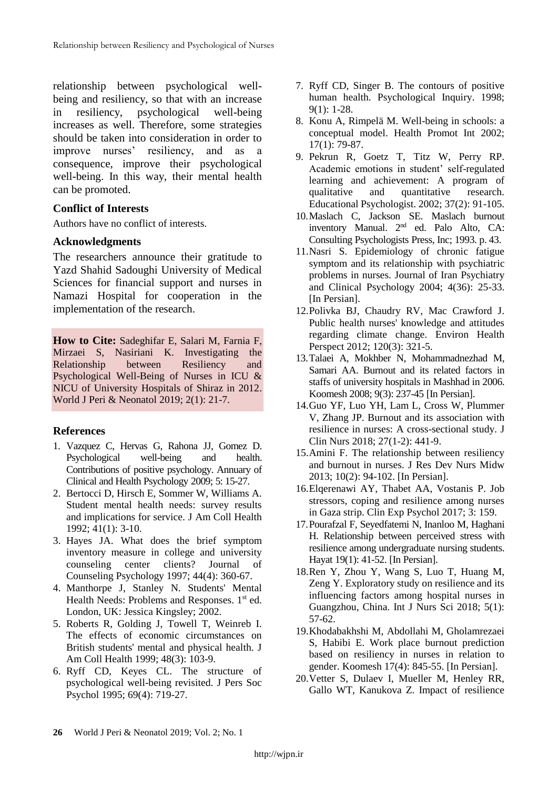relationship between psychological wellbeing and resiliency, so that with an increase in resiliency, psychological well-being increases as well. Therefore, some strategies should be taken into consideration in order to improve nurses' resiliency, and as a consequence, improve their psychological well-being. In this way, their mental health can be promoted.

#### **Conflict of Interests**

Authors have no conflict of interests.

#### **Acknowledgments**

The researchers announce their gratitude to Yazd Shahid Sadoughi University of Medical Sciences for financial support and nurses in Namazi Hospital for cooperation in the implementation of the research.

**How to Cite:** Sadeghifar E, Salari M, Farnia F, Mirzaei S, Nasiriani K. Investigating the Relationship between Resiliency and Psychological Well-Being of Nurses in ICU & NICU of University Hospitals of Shiraz in 2012. World J Peri & Neonatol 2019; 2(1): 21-7.

## **References**

- 1. Vazquez C, Hervas G, Rahona JJ, Gomez D. Psychological well-being and health. Contributions of positive psychology. Annuary of Clinical and Health Psychology 2009; 5: 15-27.
- 2. Bertocci D, Hirsch E, Sommer W, Williams A. Student mental health needs: survey results and implications for service. J Am Coll Health 1992; 41(1): 3-10.
- 3. Hayes JA. What does the brief symptom inventory measure in college and university counseling center clients? Journal of Counseling Psychology 1997; 44(4): 360-67.
- 4. Manthorpe J, Stanley N. Students' Mental Health Needs: Problems and Responses. 1<sup>st</sup> ed. London, UK: Jessica Kingsley; 2002.
- 5. Roberts R, Golding J, Towell T, Weinreb I. The effects of economic circumstances on British students' mental and physical health. J Am Coll Health 1999; 48(3): 103-9.
- 6. Ryff CD, Keyes CL. The structure of psychological well-being revisited. J Pers Soc Psychol 1995; 69(4): 719-27.
- 7. Ryff CD, Singer B. The contours of positive human health. Psychological Inquiry. 1998; 9(1): 1-28.
- 8. Konu A, Rimpelä M. Well-being in schools: a conceptual model. Health Promot Int 2002; 17(1): 79-87.
- 9. Pekrun R, Goetz T, Titz W, Perry RP. Academic emotions in student' self-regulated learning and achievement: A program of qualitative and quantitative research. Educational Psychologist. 2002; 37(2): 91-105.
- 10.Maslach C, Jackson SE. Maslach burnout inventory Manual. 2<sup>nd</sup> ed. Palo Alto, CA: Consulting Psychologists Press, Inc; 1993. p. 43.
- 11.Nasri S. Epidemiology of chronic fatigue symptom and its relationship with psychiatric problems in nurses. Journal of Iran Psychiatry and Clinical Psychology 2004; 4(36): 25-33. [In Persian].
- 12.Polivka BJ, Chaudry RV, Mac Crawford J. Public health nurses' knowledge and attitudes regarding climate change. Environ Health Perspect 2012; 120(3): 321-5.
- 13.Talaei A, Mokhber N, Mohammadnezhad M, Samari AA. Burnout and its related factors in staffs of university hospitals in Mashhad in 2006. Koomesh 2008; 9(3): 237-45 [In Persian].
- 14.Guo YF, Luo YH, Lam L, Cross W, Plummer V, Zhang JP. Burnout and its association with resilience in nurses: A cross-sectional study. J Clin Nurs 2018; 27(1-2): 441-9.
- 15.Amini F. The relationship between resiliency and burnout in nurses. J Res Dev Nurs Midw 2013; 10(2): 94-102. [In Persian].
- 16.Elqerenawi AY, Thabet AA, Vostanis P. Job stressors, coping and resilience among nurses in Gaza strip. Clin Exp Psychol 2017; 3: 159.
- 17.Pourafzal F, Seyedfatemi N, Inanloo M, Haghani H. Relationship between perceived stress with resilience among undergraduate nursing students. Hayat 19(1): 41-52. [In Persian].
- 18.Ren Y, Zhou Y, Wang S, Luo T, Huang M, Zeng Y. Exploratory study on resilience and its influencing factors among hospital nurses in Guangzhou, China. Int J Nurs Sci 2018; 5(1): 57-62.
- 19.Khodabakhshi M, Abdollahi M, Gholamrezaei S, Habibi E. Work place burnout prediction based on resiliency in nurses in relation to gender. Koomesh 17(4): 845-55. [In Persian].
- 20.Vetter S, Dulaev I, Mueller M, Henley RR, Gallo WT, Kanukova Z. Impact of resilience